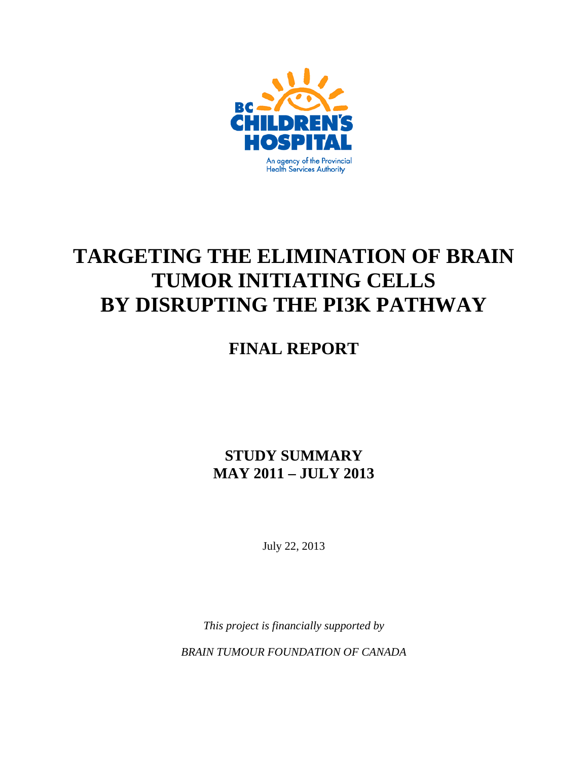

# **TARGETING THE ELIMINATION OF BRAIN TUMOR INITIATING CELLS BY DISRUPTING THE PI3K PATHWAY**

# **FINAL REPORT**

## **STUDY SUMMARY MAY 2011 – JULY 2013**

July 22, 2013

*This project is financially supported by* 

*BRAIN TUMOUR FOUNDATION OF CANADA*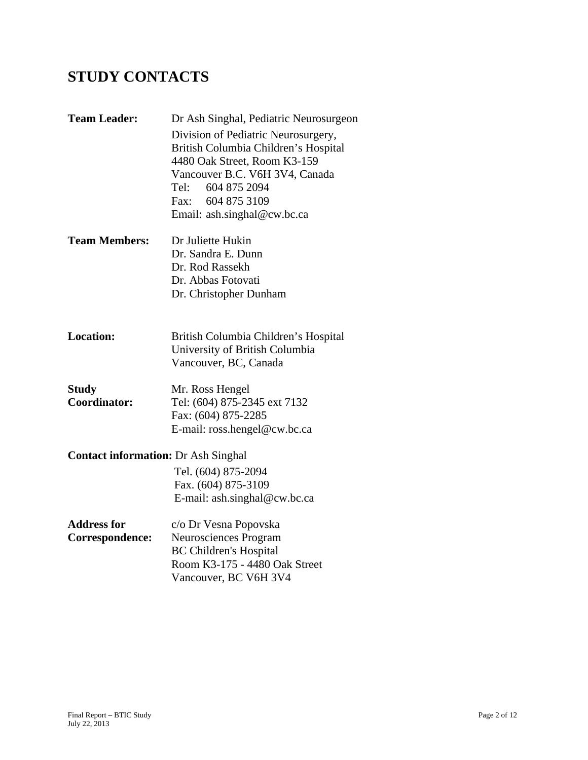# **STUDY CONTACTS**

| <b>Team Leader:</b>                        | Dr Ash Singhal, Pediatric Neurosurgeon |
|--------------------------------------------|----------------------------------------|
|                                            | Division of Pediatric Neurosurgery,    |
|                                            | British Columbia Children's Hospital   |
|                                            | 4480 Oak Street, Room K3-159           |
|                                            | Vancouver B.C. V6H 3V4, Canada         |
|                                            | 604 875 2094<br>Tel:-                  |
|                                            | Fax: 604 875 3109                      |
|                                            | Email: ash.singhal@cw.bc.ca            |
| <b>Team Members:</b>                       | Dr Juliette Hukin                      |
|                                            | Dr. Sandra E. Dunn                     |
|                                            | Dr. Rod Rassekh                        |
|                                            | Dr. Abbas Fotovati                     |
|                                            | Dr. Christopher Dunham                 |
|                                            |                                        |
| <b>Location:</b>                           | British Columbia Children's Hospital   |
|                                            | University of British Columbia         |
|                                            | Vancouver, BC, Canada                  |
| <b>Study</b>                               | Mr. Ross Hengel                        |
| Coordinator:                               | Tel: (604) 875-2345 ext 7132           |
|                                            | Fax: (604) 875-2285                    |
|                                            | E-mail: ross.hengel@cw.bc.ca           |
| <b>Contact information: Dr Ash Singhal</b> |                                        |
|                                            | Tel. (604) 875-2094                    |
|                                            | Fax. (604) 875-3109                    |
|                                            | E-mail: ash.singhal@cw.bc.ca           |
| <b>Address for</b>                         | c/o Dr Vesna Popovska                  |
| Correspondence:                            | Neurosciences Program                  |
|                                            | <b>BC Children's Hospital</b>          |
|                                            | Room K3-175 - 4480 Oak Street          |
|                                            | Vancouver, BC V6H 3V4                  |
|                                            |                                        |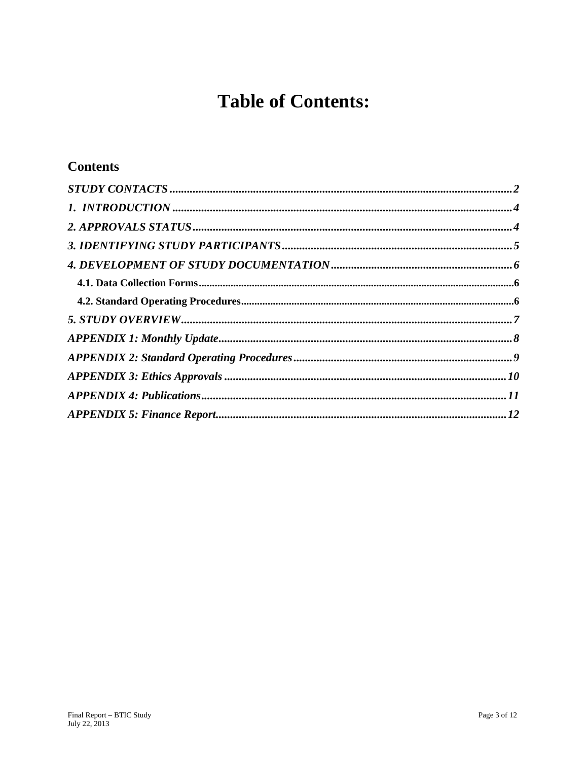# **Table of Contents:**

## **Contents**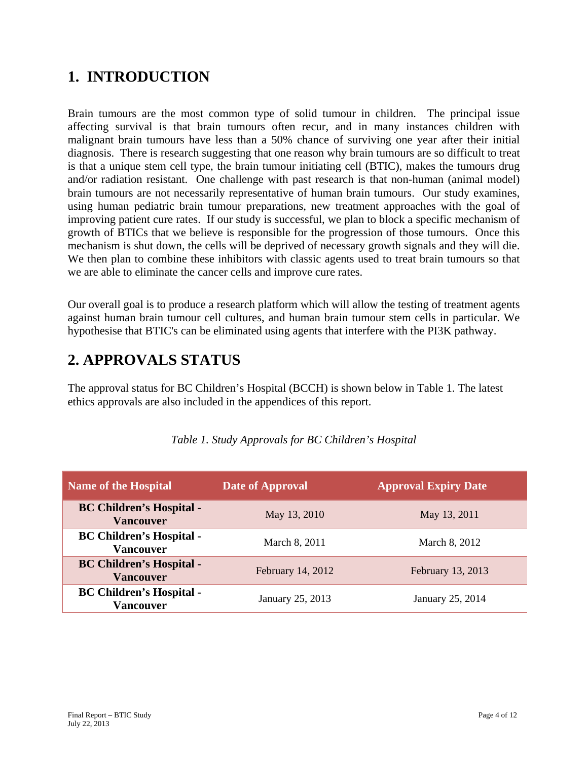## **1. INTRODUCTION**

Brain tumours are the most common type of solid tumour in children. The principal issue affecting survival is that brain tumours often recur, and in many instances children with malignant brain tumours have less than a 50% chance of surviving one year after their initial diagnosis. There is research suggesting that one reason why brain tumours are so difficult to treat is that a unique stem cell type, the brain tumour initiating cell (BTIC), makes the tumours drug and/or radiation resistant. One challenge with past research is that non-human (animal model) brain tumours are not necessarily representative of human brain tumours. Our study examines, using human pediatric brain tumour preparations, new treatment approaches with the goal of improving patient cure rates. If our study is successful, we plan to block a specific mechanism of growth of BTICs that we believe is responsible for the progression of those tumours. Once this mechanism is shut down, the cells will be deprived of necessary growth signals and they will die. We then plan to combine these inhibitors with classic agents used to treat brain tumours so that we are able to eliminate the cancer cells and improve cure rates.

Our overall goal is to produce a research platform which will allow the testing of treatment agents against human brain tumour cell cultures, and human brain tumour stem cells in particular. We hypothesise that BTIC's can be eliminated using agents that interfere with the PI3K pathway.

# **2. APPROVALS STATUS**

The approval status for BC Children's Hospital (BCCH) is shown below in Table 1. The latest ethics approvals are also included in the appendices of this report.

| Name of the Hospital                                | Date of Approval<br><b>Approval Expiry Date</b> |                   |
|-----------------------------------------------------|-------------------------------------------------|-------------------|
| <b>BC Children's Hospital -</b><br><b>Vancouver</b> | May 13, 2010                                    | May 13, 2011      |
| <b>BC Children's Hospital -</b><br><b>Vancouver</b> | March 8, 2011                                   | March 8, 2012     |
| <b>BC Children's Hospital -</b><br><b>Vancouver</b> | February 14, 2012                               | February 13, 2013 |
| <b>BC Children's Hospital -</b><br><b>Vancouver</b> | January 25, 2013                                | January 25, 2014  |

#### *Table 1. Study Approvals for BC Children's Hospital*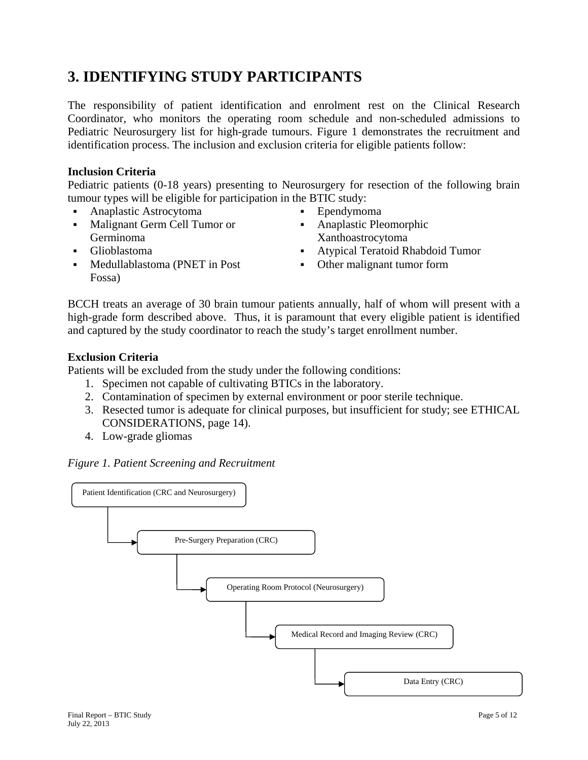## **3. IDENTIFYING STUDY PARTICIPANTS**

The responsibility of patient identification and enrolment rest on the Clinical Research Coordinator, who monitors the operating room schedule and non-scheduled admissions to Pediatric Neurosurgery list for high-grade tumours. Figure 1 demonstrates the recruitment and identification process. The inclusion and exclusion criteria for eligible patients follow:

#### **Inclusion Criteria**

Pediatric patients (0-18 years) presenting to Neurosurgery for resection of the following brain tumour types will be eligible for participation in the BTIC study:

- Anaplastic Astrocytoma Ependymoma
- Malignant Germ Cell Tumor or Germinoma
- 
- Medullablastoma (PNET in Post Fossa)
- 
- Anaplastic Pleomorphic Xanthoastrocytoma
- Glioblastoma Atypical Teratoid Rhabdoid Tumor
	- Other malignant tumor form

BCCH treats an average of 30 brain tumour patients annually, half of whom will present with a high-grade form described above. Thus, it is paramount that every eligible patient is identified and captured by the study coordinator to reach the study's target enrollment number.

#### **Exclusion Criteria**

Patients will be excluded from the study under the following conditions:

- 1. Specimen not capable of cultivating BTICs in the laboratory.
- 2. Contamination of specimen by external environment or poor sterile technique.
- 3. Resected tumor is adequate for clinical purposes, but insufficient for study; see ETHICAL CONSIDERATIONS, page 14).
- 4. Low-grade gliomas



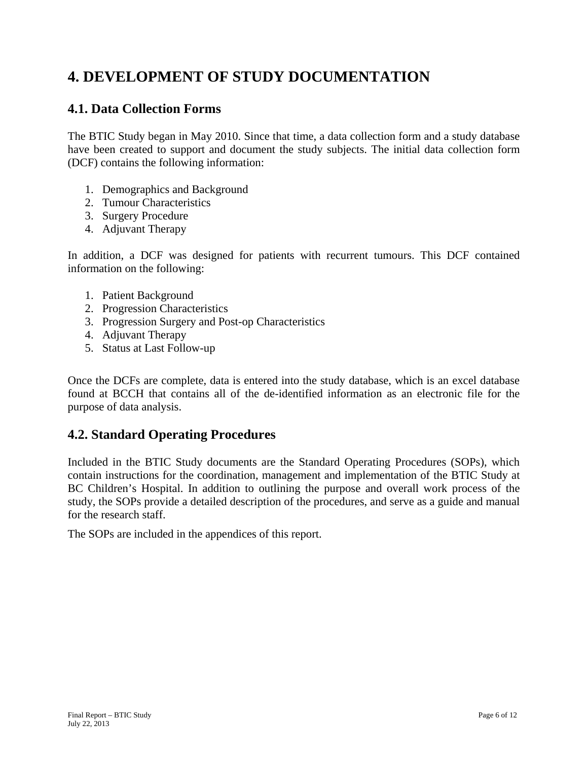# **4. DEVELOPMENT OF STUDY DOCUMENTATION**

#### **4.1. Data Collection Forms**

The BTIC Study began in May 2010. Since that time, a data collection form and a study database have been created to support and document the study subjects. The initial data collection form (DCF) contains the following information:

- 1. Demographics and Background
- 2. Tumour Characteristics
- 3. Surgery Procedure
- 4. Adjuvant Therapy

In addition, a DCF was designed for patients with recurrent tumours. This DCF contained information on the following:

- 1. Patient Background
- 2. Progression Characteristics
- 3. Progression Surgery and Post-op Characteristics
- 4. Adjuvant Therapy
- 5. Status at Last Follow-up

Once the DCFs are complete, data is entered into the study database, which is an excel database found at BCCH that contains all of the de-identified information as an electronic file for the purpose of data analysis.

#### **4.2. Standard Operating Procedures**

Included in the BTIC Study documents are the Standard Operating Procedures (SOPs), which contain instructions for the coordination, management and implementation of the BTIC Study at BC Children's Hospital. In addition to outlining the purpose and overall work process of the study, the SOPs provide a detailed description of the procedures, and serve as a guide and manual for the research staff.

The SOPs are included in the appendices of this report.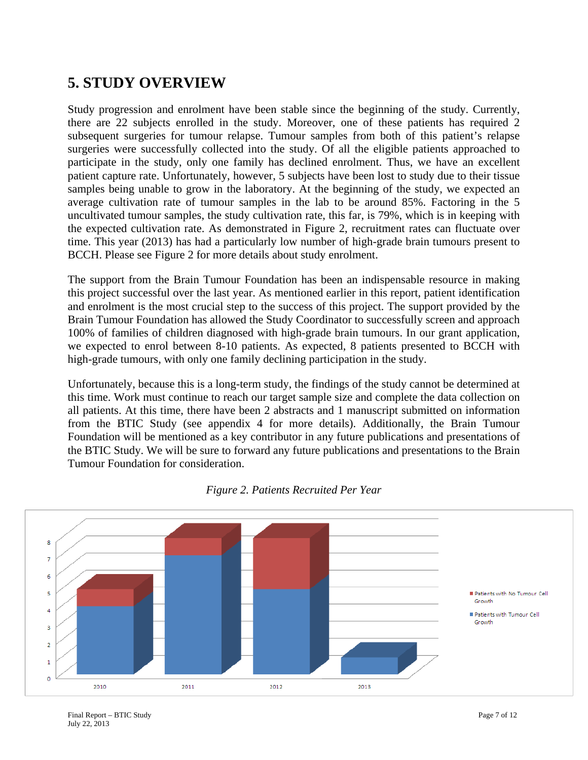## **5. STUDY OVERVIEW**

Study progression and enrolment have been stable since the beginning of the study. Currently, there are 22 subjects enrolled in the study. Moreover, one of these patients has required 2 subsequent surgeries for tumour relapse. Tumour samples from both of this patient's relapse surgeries were successfully collected into the study. Of all the eligible patients approached to participate in the study, only one family has declined enrolment. Thus, we have an excellent patient capture rate. Unfortunately, however, 5 subjects have been lost to study due to their tissue samples being unable to grow in the laboratory. At the beginning of the study, we expected an average cultivation rate of tumour samples in the lab to be around 85%. Factoring in the 5 uncultivated tumour samples, the study cultivation rate, this far, is 79%, which is in keeping with the expected cultivation rate. As demonstrated in Figure 2, recruitment rates can fluctuate over time. This year (2013) has had a particularly low number of high-grade brain tumours present to BCCH. Please see Figure 2 for more details about study enrolment.

The support from the Brain Tumour Foundation has been an indispensable resource in making this project successful over the last year. As mentioned earlier in this report, patient identification and enrolment is the most crucial step to the success of this project. The support provided by the Brain Tumour Foundation has allowed the Study Coordinator to successfully screen and approach 100% of families of children diagnosed with high-grade brain tumours. In our grant application, we expected to enrol between 8-10 patients. As expected, 8 patients presented to BCCH with high-grade tumours, with only one family declining participation in the study.

Unfortunately, because this is a long-term study, the findings of the study cannot be determined at this time. Work must continue to reach our target sample size and complete the data collection on all patients. At this time, there have been 2 abstracts and 1 manuscript submitted on information from the BTIC Study (see appendix 4 for more details). Additionally, the Brain Tumour Foundation will be mentioned as a key contributor in any future publications and presentations of the BTIC Study. We will be sure to forward any future publications and presentations to the Brain Tumour Foundation for consideration.



*Figure 2. Patients Recruited Per Year*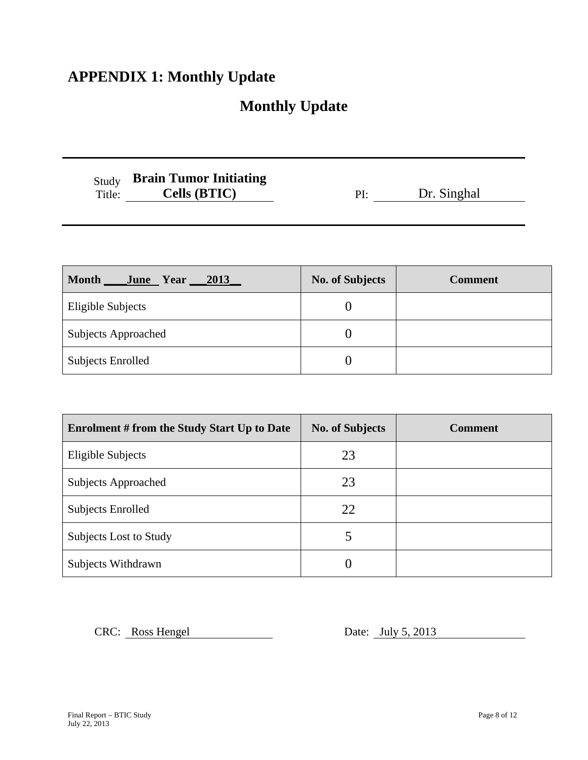# **APPENDIX 1: Monthly Update**

# **Monthly Update**

| Study  | <b>Brain Tumor Initiating</b> |
|--------|-------------------------------|
| Title: | Cells (BTIC)                  |

| <b>Cells (BTIC)</b> | Dr. Singhal |
|---------------------|-------------|
|                     |             |

| <b>Month</b><br>June Year<br><u> 2013 </u> | <b>No. of Subjects</b> | <b>Comment</b> |
|--------------------------------------------|------------------------|----------------|
| Eligible Subjects                          |                        |                |
| <b>Subjects Approached</b>                 |                        |                |
| <b>Subjects Enrolled</b>                   |                        |                |

| <b>Enrolment # from the Study Start Up to Date</b> | <b>No. of Subjects</b> | <b>Comment</b> |
|----------------------------------------------------|------------------------|----------------|
| <b>Eligible Subjects</b>                           | 23                     |                |
| <b>Subjects Approached</b>                         | 23                     |                |
| Subjects Enrolled                                  | 22                     |                |
| Subjects Lost to Study                             | 5                      |                |
| Subjects Withdrawn                                 | ( )                    |                |

CRC: Ross Hengel Date: July 5, 2013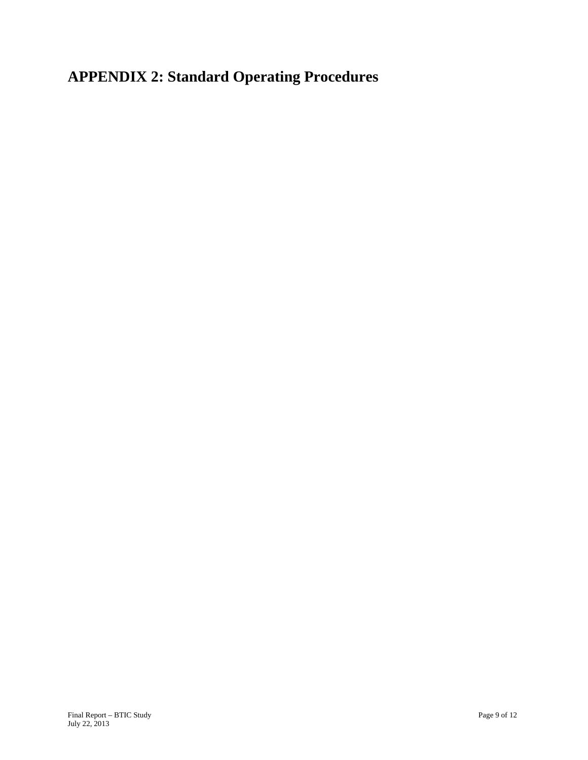**APPENDIX 2: Standard Operating Procedures**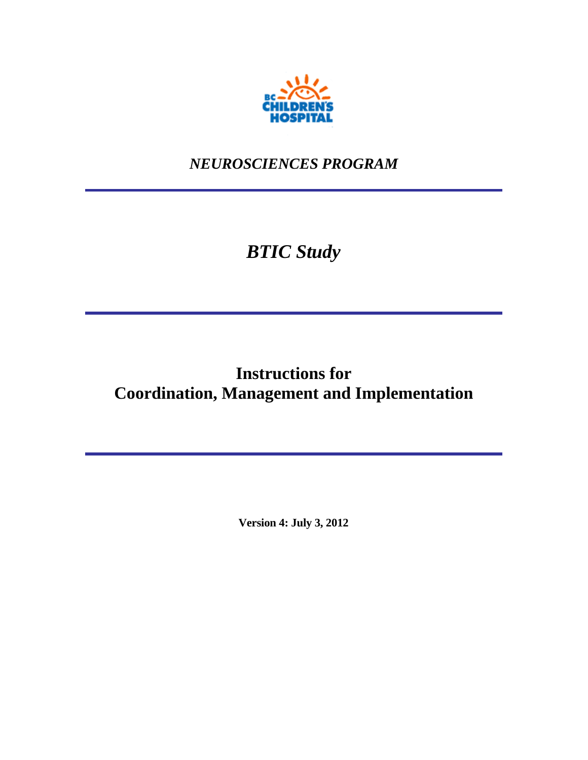

*NEUROSCIENCES PROGRAM* 

# *BTIC Study*

# **Instructions for Coordination, Management and Implementation**

**Version 4: July 3, 2012**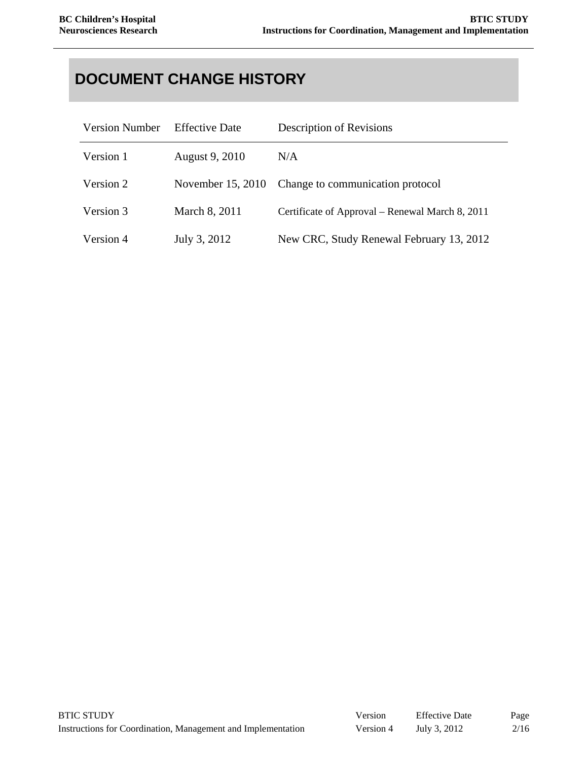# **DOCUMENT CHANGE HISTORY**

| <b>Version Number</b> | <b>Effective Date</b> | Description of Revisions                        |
|-----------------------|-----------------------|-------------------------------------------------|
| Version 1             | August 9, 2010        | N/A                                             |
| Version 2             | November 15, 2010     | Change to communication protocol                |
| Version 3             | March 8, 2011         | Certificate of Approval – Renewal March 8, 2011 |
| Version 4             | July 3, 2012          | New CRC, Study Renewal February 13, 2012        |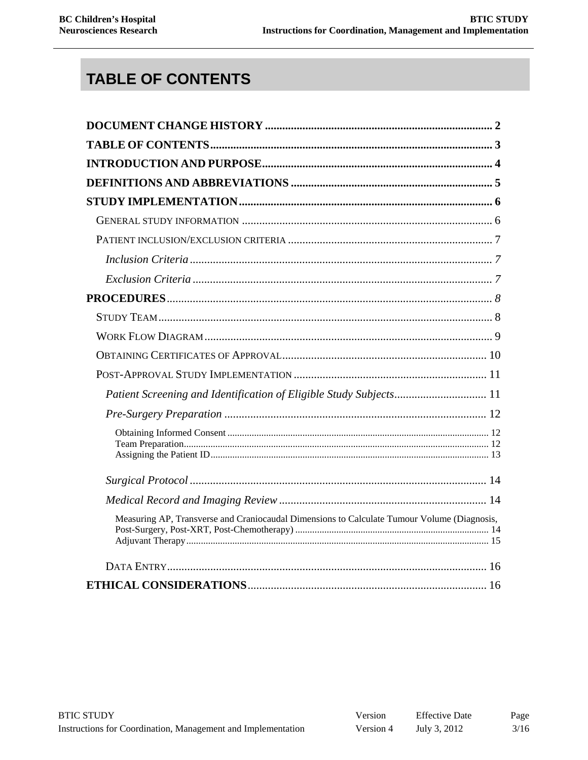# **TABLE OF CONTENTS**

| Patient Screening and Identification of Eligible Study Subjects 11                          |  |
|---------------------------------------------------------------------------------------------|--|
|                                                                                             |  |
|                                                                                             |  |
|                                                                                             |  |
|                                                                                             |  |
| Measuring AP, Transverse and Craniocaudal Dimensions to Calculate Tumour Volume (Diagnosis, |  |
|                                                                                             |  |
|                                                                                             |  |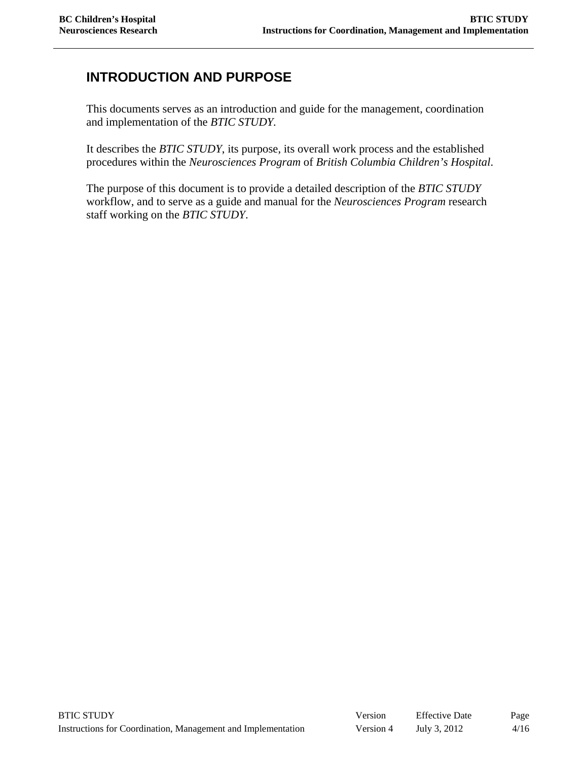### **INTRODUCTION AND PURPOSE**

This documents serves as an introduction and guide for the management, coordination and implementation of the *BTIC STUDY.* 

It describes the *BTIC STUDY*, its purpose, its overall work process and the established procedures within the *Neurosciences Program* of *British Columbia Children's Hospital*.

The purpose of this document is to provide a detailed description of the *BTIC STUDY* workflow, and to serve as a guide and manual for the *Neurosciences Program* research staff working on the *BTIC STUDY*.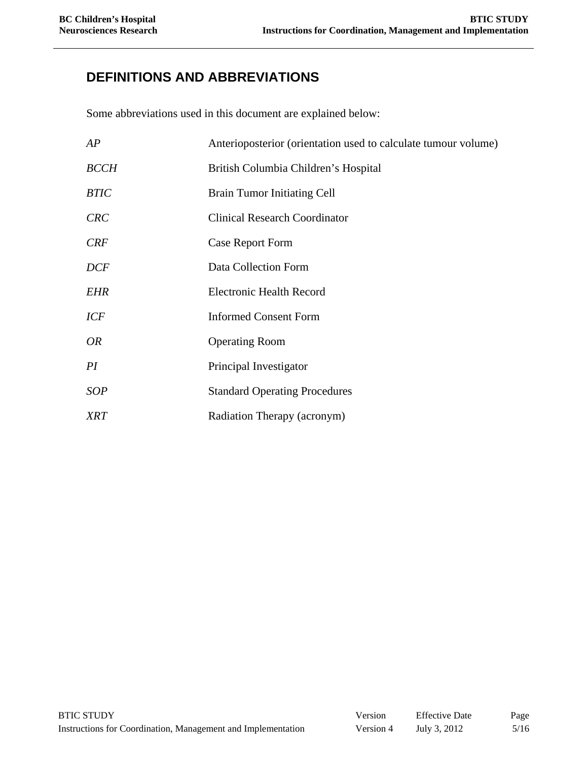## **DEFINITIONS AND ABBREVIATIONS**

Some abbreviations used in this document are explained below:

| AP          | Anterioposterior (orientation used to calculate tumour volume) |  |
|-------------|----------------------------------------------------------------|--|
| <b>BCCH</b> | British Columbia Children's Hospital                           |  |
| <b>BTIC</b> | <b>Brain Tumor Initiating Cell</b>                             |  |
| <b>CRC</b>  | <b>Clinical Research Coordinator</b>                           |  |
| <b>CRF</b>  | Case Report Form                                               |  |
| <b>DCF</b>  | Data Collection Form                                           |  |
| <b>EHR</b>  | <b>Electronic Health Record</b>                                |  |
| <b>ICF</b>  | <b>Informed Consent Form</b>                                   |  |
| <i>OR</i>   | <b>Operating Room</b>                                          |  |
| PI          | Principal Investigator                                         |  |
| <b>SOP</b>  | <b>Standard Operating Procedures</b>                           |  |
| <b>XRT</b>  | Radiation Therapy (acronym)                                    |  |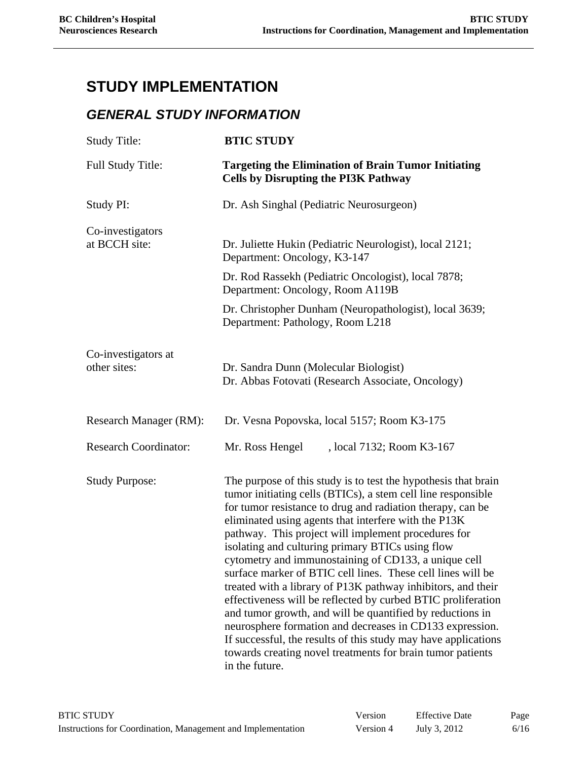# **STUDY IMPLEMENTATION**

#### *GENERAL STUDY INFORMATION*

| <b>Study Title:</b>                 | <b>BTIC STUDY</b>                                                                                                                                                                                                                                                                                                                                                                                                                                                                                                                                                                                                                                                                                                                                                                                                                                                                                 |  |  |
|-------------------------------------|---------------------------------------------------------------------------------------------------------------------------------------------------------------------------------------------------------------------------------------------------------------------------------------------------------------------------------------------------------------------------------------------------------------------------------------------------------------------------------------------------------------------------------------------------------------------------------------------------------------------------------------------------------------------------------------------------------------------------------------------------------------------------------------------------------------------------------------------------------------------------------------------------|--|--|
| Full Study Title:                   | <b>Targeting the Elimination of Brain Tumor Initiating</b><br><b>Cells by Disrupting the PI3K Pathway</b>                                                                                                                                                                                                                                                                                                                                                                                                                                                                                                                                                                                                                                                                                                                                                                                         |  |  |
| Study PI:                           | Dr. Ash Singhal (Pediatric Neurosurgeon)                                                                                                                                                                                                                                                                                                                                                                                                                                                                                                                                                                                                                                                                                                                                                                                                                                                          |  |  |
| Co-investigators<br>at BCCH site:   | Dr. Juliette Hukin (Pediatric Neurologist), local 2121;<br>Department: Oncology, K3-147                                                                                                                                                                                                                                                                                                                                                                                                                                                                                                                                                                                                                                                                                                                                                                                                           |  |  |
|                                     | Dr. Rod Rassekh (Pediatric Oncologist), local 7878;<br>Department: Oncology, Room A119B                                                                                                                                                                                                                                                                                                                                                                                                                                                                                                                                                                                                                                                                                                                                                                                                           |  |  |
|                                     | Dr. Christopher Dunham (Neuropathologist), local 3639;<br>Department: Pathology, Room L218                                                                                                                                                                                                                                                                                                                                                                                                                                                                                                                                                                                                                                                                                                                                                                                                        |  |  |
| Co-investigators at<br>other sites: | Dr. Sandra Dunn (Molecular Biologist)<br>Dr. Abbas Fotovati (Research Associate, Oncology)                                                                                                                                                                                                                                                                                                                                                                                                                                                                                                                                                                                                                                                                                                                                                                                                        |  |  |
| Research Manager (RM):              | Dr. Vesna Popovska, local 5157; Room K3-175                                                                                                                                                                                                                                                                                                                                                                                                                                                                                                                                                                                                                                                                                                                                                                                                                                                       |  |  |
| <b>Research Coordinator:</b>        | Mr. Ross Hengel<br>, local 7132; Room K3-167                                                                                                                                                                                                                                                                                                                                                                                                                                                                                                                                                                                                                                                                                                                                                                                                                                                      |  |  |
| <b>Study Purpose:</b>               | The purpose of this study is to test the hypothesis that brain<br>tumor initiating cells (BTICs), a stem cell line responsible<br>for tumor resistance to drug and radiation therapy, can be<br>eliminated using agents that interfere with the P13K<br>pathway. This project will implement procedures for<br>isolating and culturing primary BTICs using flow<br>cytometry and immunostaining of CD133, a unique cell<br>surface marker of BTIC cell lines. These cell lines will be<br>treated with a library of P13K pathway inhibitors, and their<br>effectiveness will be reflected by curbed BTIC proliferation<br>and tumor growth, and will be quantified by reductions in<br>neurosphere formation and decreases in CD133 expression.<br>If successful, the results of this study may have applications<br>towards creating novel treatments for brain tumor patients<br>in the future. |  |  |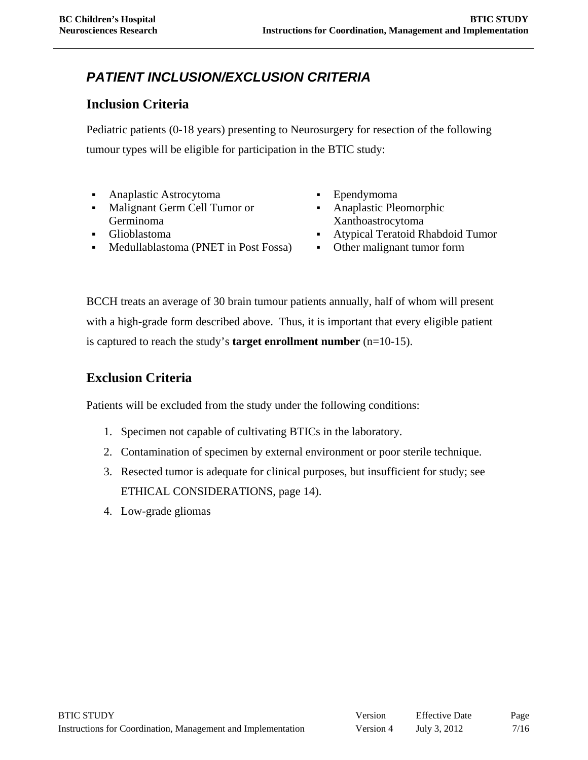## *PATIENT INCLUSION/EXCLUSION CRITERIA*

#### **Inclusion Criteria**

Pediatric patients (0-18 years) presenting to Neurosurgery for resection of the following tumour types will be eligible for participation in the BTIC study:

- Anaplastic Astrocytoma Ependymoma
- Malignant Germ Cell Tumor or Germinoma
- 
- Medullablastoma (PNET in Post Fossa) Other malignant tumor form
- 
- Anaplastic Pleomorphic Xanthoastrocytoma
- Glioblastoma Atypical Teratoid Rhabdoid Tumor
	-

BCCH treats an average of 30 brain tumour patients annually, half of whom will present with a high-grade form described above. Thus, it is important that every eligible patient is captured to reach the study's **target enrollment number** (n=10-15).

#### **Exclusion Criteria**

Patients will be excluded from the study under the following conditions:

- 1. Specimen not capable of cultivating BTICs in the laboratory.
- 2. Contamination of specimen by external environment or poor sterile technique.
- 3. Resected tumor is adequate for clinical purposes, but insufficient for study; see ETHICAL CONSIDERATIONS, page 14).
- 4. Low-grade gliomas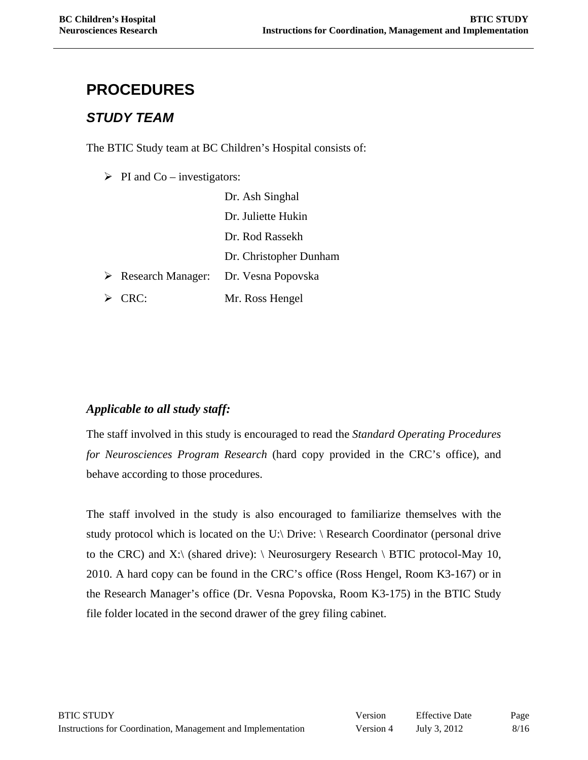# **PROCEDURES**

#### *STUDY TEAM*

The BTIC Study team at BC Children's Hospital consists of:

 $\triangleright$  PI and Co – investigators:

|                                    | Dr. Ash Singhal        |
|------------------------------------|------------------------|
|                                    | Dr. Juliette Hukin     |
|                                    | Dr. Rod Rassekh        |
|                                    | Dr. Christopher Dunham |
| $\triangleright$ Research Manager: | Dr. Vesna Popovska     |
| $\triangleright$ CRC:              | Mr. Ross Hengel        |
|                                    |                        |

#### *Applicable to all study staff:*

The staff involved in this study is encouraged to read the *Standard Operating Procedures for Neurosciences Program Research* (hard copy provided in the CRC's office), and behave according to those procedures.

The staff involved in the study is also encouraged to familiarize themselves with the study protocol which is located on the U:\ Drive: \ Research Coordinator (personal drive to the CRC) and X: $\langle$  (shared drive):  $\langle$  Neurosurgery Research  $\langle$  BTIC protocol-May 10, 2010. A hard copy can be found in the CRC's office (Ross Hengel, Room K3-167) or in the Research Manager's office (Dr. Vesna Popovska, Room K3-175) in the BTIC Study file folder located in the second drawer of the grey filing cabinet.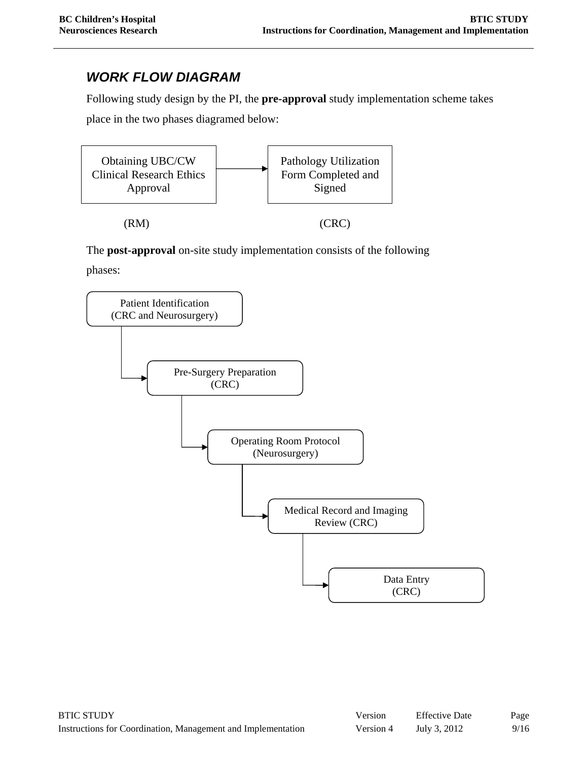#### *WORK FLOW DIAGRAM*

Following study design by the PI, the **pre-approval** study implementation scheme takes place in the two phases diagramed below:



The **post-approval** on-site study implementation consists of the following phases:

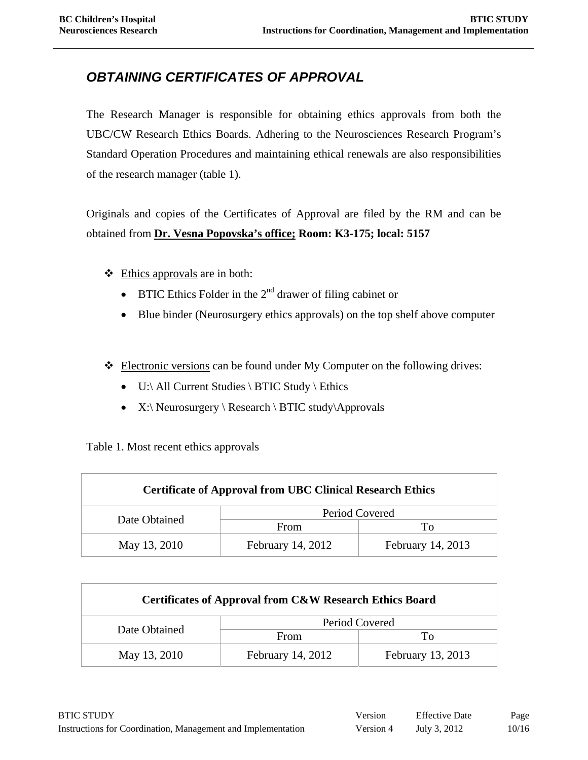## *OBTAINING CERTIFICATES OF APPROVAL*

The Research Manager is responsible for obtaining ethics approvals from both the UBC/CW Research Ethics Boards. Adhering to the Neurosciences Research Program's Standard Operation Procedures and maintaining ethical renewals are also responsibilities of the research manager (table 1).

Originals and copies of the Certificates of Approval are filed by the RM and can be obtained from **Dr. Vesna Popovska's office; Room: K3-175; local: 5157** 

- $\triangleleft$  Ethics approvals are in both:
	- BTIC Ethics Folder in the  $2<sup>nd</sup>$  drawer of filing cabinet or
	- Blue binder (Neurosurgery ethics approvals) on the top shelf above computer
- Electronic versions can be found under My Computer on the following drives:
	- U:\ All Current Studies \ BTIC Study \ Ethics
	- X:\ Neurosurgery \ Research \ BTIC study\Approvals

Table 1. Most recent ethics approvals

| <b>Certificate of Approval from UBC Clinical Research Ethics</b> |                   |                   |  |  |
|------------------------------------------------------------------|-------------------|-------------------|--|--|
| Date Obtained                                                    | Period Covered    |                   |  |  |
|                                                                  | From              | Tο                |  |  |
| May 13, 2010                                                     | February 14, 2012 | February 14, 2013 |  |  |

| Certificates of Approval from C&W Research Ethics Board |                   |                   |  |  |
|---------------------------------------------------------|-------------------|-------------------|--|--|
| Date Obtained                                           | Period Covered    |                   |  |  |
|                                                         | From              | Tο                |  |  |
| May 13, 2010                                            | February 14, 2012 | February 13, 2013 |  |  |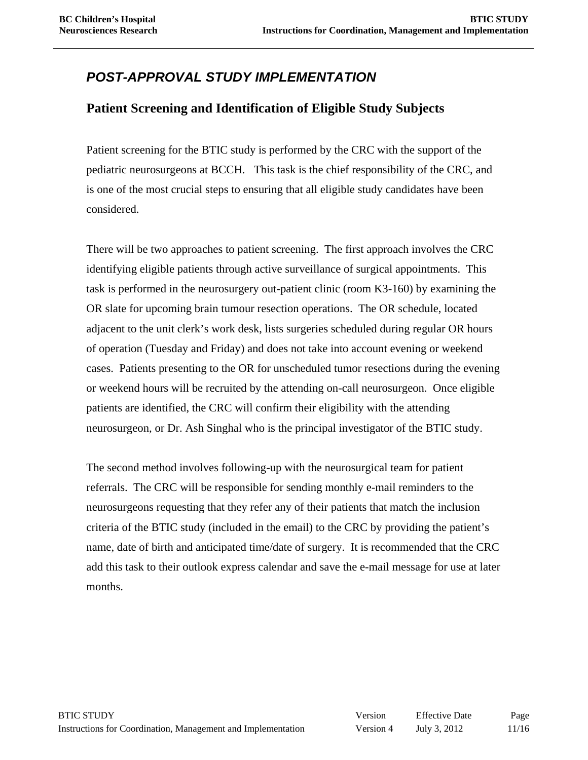## *POST-APPROVAL STUDY IMPLEMENTATION*

#### **Patient Screening and Identification of Eligible Study Subjects**

Patient screening for the BTIC study is performed by the CRC with the support of the pediatric neurosurgeons at BCCH. This task is the chief responsibility of the CRC, and is one of the most crucial steps to ensuring that all eligible study candidates have been considered.

There will be two approaches to patient screening. The first approach involves the CRC identifying eligible patients through active surveillance of surgical appointments. This task is performed in the neurosurgery out-patient clinic (room K3-160) by examining the OR slate for upcoming brain tumour resection operations. The OR schedule, located adjacent to the unit clerk's work desk, lists surgeries scheduled during regular OR hours of operation (Tuesday and Friday) and does not take into account evening or weekend cases. Patients presenting to the OR for unscheduled tumor resections during the evening or weekend hours will be recruited by the attending on-call neurosurgeon. Once eligible patients are identified, the CRC will confirm their eligibility with the attending neurosurgeon, or Dr. Ash Singhal who is the principal investigator of the BTIC study.

The second method involves following-up with the neurosurgical team for patient referrals. The CRC will be responsible for sending monthly e-mail reminders to the neurosurgeons requesting that they refer any of their patients that match the inclusion criteria of the BTIC study (included in the email) to the CRC by providing the patient's name, date of birth and anticipated time/date of surgery. It is recommended that the CRC add this task to their outlook express calendar and save the e-mail message for use at later months.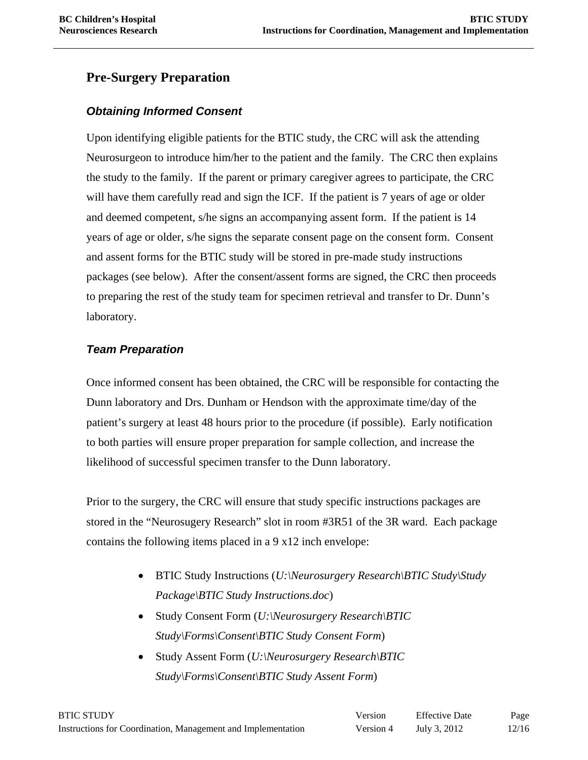#### **Pre-Surgery Preparation**

#### *Obtaining Informed Consent*

Upon identifying eligible patients for the BTIC study, the CRC will ask the attending Neurosurgeon to introduce him/her to the patient and the family. The CRC then explains the study to the family. If the parent or primary caregiver agrees to participate, the CRC will have them carefully read and sign the ICF. If the patient is 7 years of age or older and deemed competent, s/he signs an accompanying assent form. If the patient is 14 years of age or older, s/he signs the separate consent page on the consent form. Consent and assent forms for the BTIC study will be stored in pre-made study instructions packages (see below). After the consent/assent forms are signed, the CRC then proceeds to preparing the rest of the study team for specimen retrieval and transfer to Dr. Dunn's laboratory.

#### *Team Preparation*

Once informed consent has been obtained, the CRC will be responsible for contacting the Dunn laboratory and Drs. Dunham or Hendson with the approximate time/day of the patient's surgery at least 48 hours prior to the procedure (if possible). Early notification to both parties will ensure proper preparation for sample collection, and increase the likelihood of successful specimen transfer to the Dunn laboratory.

Prior to the surgery, the CRC will ensure that study specific instructions packages are stored in the "Neurosugery Research" slot in room #3R51 of the 3R ward. Each package contains the following items placed in a 9 x12 inch envelope:

- BTIC Study Instructions (*U:\Neurosurgery Research\BTIC Study\Study Package\BTIC Study Instructions.doc*)
- Study Consent Form (*U:\Neurosurgery Research\BTIC Study\Forms\Consent\BTIC Study Consent Form*)
- Study Assent Form (*U:\Neurosurgery Research\BTIC Study\Forms\Consent\BTIC Study Assent Form*)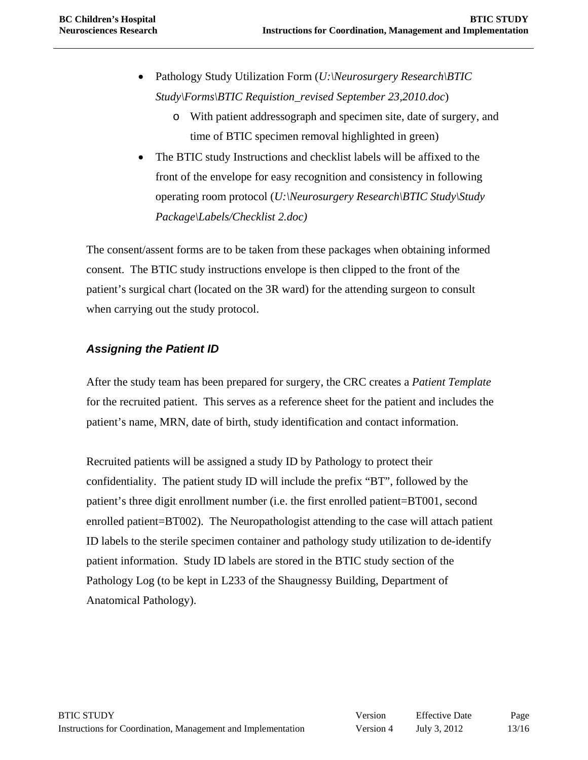- Pathology Study Utilization Form (*U:\Neurosurgery Research\BTIC Study\Forms\BTIC Requistion\_revised September 23,2010.doc*)
	- o With patient addressograph and specimen site, date of surgery, and time of BTIC specimen removal highlighted in green)
- The BTIC study Instructions and checklist labels will be affixed to the front of the envelope for easy recognition and consistency in following operating room protocol (*U:\Neurosurgery Research\BTIC Study\Study Package\Labels/Checklist 2.doc)*

The consent/assent forms are to be taken from these packages when obtaining informed consent. The BTIC study instructions envelope is then clipped to the front of the patient's surgical chart (located on the 3R ward) for the attending surgeon to consult when carrying out the study protocol.

#### *Assigning the Patient ID*

After the study team has been prepared for surgery, the CRC creates a *Patient Template*  for the recruited patient. This serves as a reference sheet for the patient and includes the patient's name, MRN, date of birth, study identification and contact information.

Recruited patients will be assigned a study ID by Pathology to protect their confidentiality. The patient study ID will include the prefix "BT", followed by the patient's three digit enrollment number (i.e. the first enrolled patient=BT001, second enrolled patient=BT002). The Neuropathologist attending to the case will attach patient ID labels to the sterile specimen container and pathology study utilization to de-identify patient information. Study ID labels are stored in the BTIC study section of the Pathology Log (to be kept in L233 of the Shaugnessy Building, Department of Anatomical Pathology).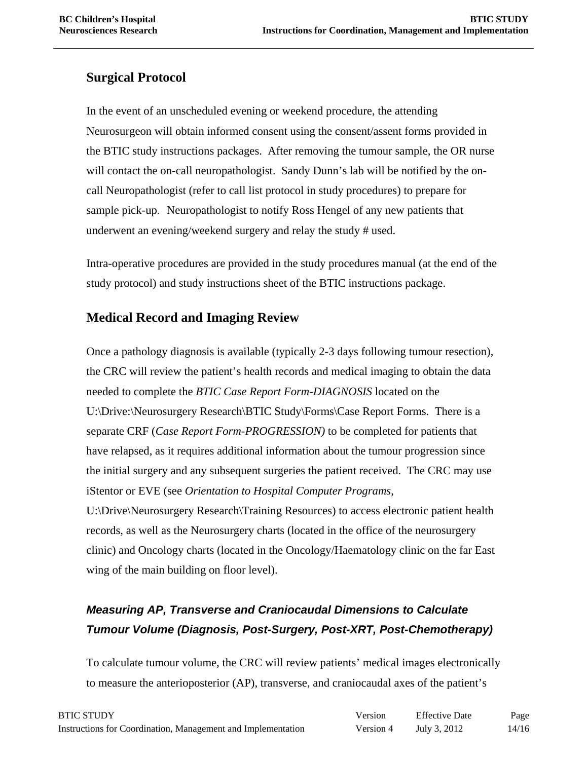#### **Surgical Protocol**

In the event of an unscheduled evening or weekend procedure, the attending Neurosurgeon will obtain informed consent using the consent/assent forms provided in the BTIC study instructions packages. After removing the tumour sample, the OR nurse will contact the on-call neuropathologist. Sandy Dunn's lab will be notified by the oncall Neuropathologist (refer to call list protocol in study procedures) to prepare for sample pick-up. Neuropathologist to notify Ross Hengel of any new patients that underwent an evening/weekend surgery and relay the study # used.

Intra-operative procedures are provided in the study procedures manual (at the end of the study protocol) and study instructions sheet of the BTIC instructions package.

#### **Medical Record and Imaging Review**

Once a pathology diagnosis is available (typically 2-3 days following tumour resection), the CRC will review the patient's health records and medical imaging to obtain the data needed to complete the *BTIC Case Report Form-DIAGNOSIS* located on the U:\Drive:\Neurosurgery Research\BTIC Study\Forms\Case Report Forms. There is a separate CRF (*Case Report Form-PROGRESSION)* to be completed for patients that have relapsed, as it requires additional information about the tumour progression since the initial surgery and any subsequent surgeries the patient received. The CRC may use iStentor or EVE (see *Orientation to Hospital Computer Programs*, U:\Drive\Neurosurgery Research\Training Resources) to access electronic patient health records, as well as the Neurosurgery charts (located in the office of the neurosurgery clinic) and Oncology charts (located in the Oncology/Haematology clinic on the far East wing of the main building on floor level).

## *Measuring AP, Transverse and Craniocaudal Dimensions to Calculate Tumour Volume (Diagnosis, Post-Surgery, Post-XRT, Post-Chemotherapy)*

To calculate tumour volume, the CRC will review patients' medical images electronically to measure the anterioposterior (AP), transverse, and craniocaudal axes of the patient's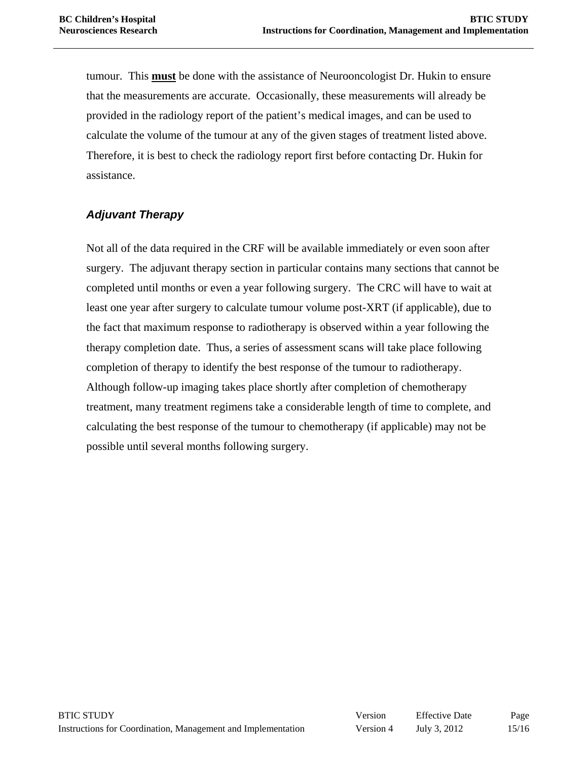tumour. This **must** be done with the assistance of Neurooncologist Dr. Hukin to ensure that the measurements are accurate. Occasionally, these measurements will already be provided in the radiology report of the patient's medical images, and can be used to calculate the volume of the tumour at any of the given stages of treatment listed above. Therefore, it is best to check the radiology report first before contacting Dr. Hukin for assistance.

#### *Adjuvant Therapy*

Not all of the data required in the CRF will be available immediately or even soon after surgery. The adjuvant therapy section in particular contains many sections that cannot be completed until months or even a year following surgery. The CRC will have to wait at least one year after surgery to calculate tumour volume post-XRT (if applicable), due to the fact that maximum response to radiotherapy is observed within a year following the therapy completion date. Thus, a series of assessment scans will take place following completion of therapy to identify the best response of the tumour to radiotherapy. Although follow-up imaging takes place shortly after completion of chemotherapy treatment, many treatment regimens take a considerable length of time to complete, and calculating the best response of the tumour to chemotherapy (if applicable) may not be possible until several months following surgery.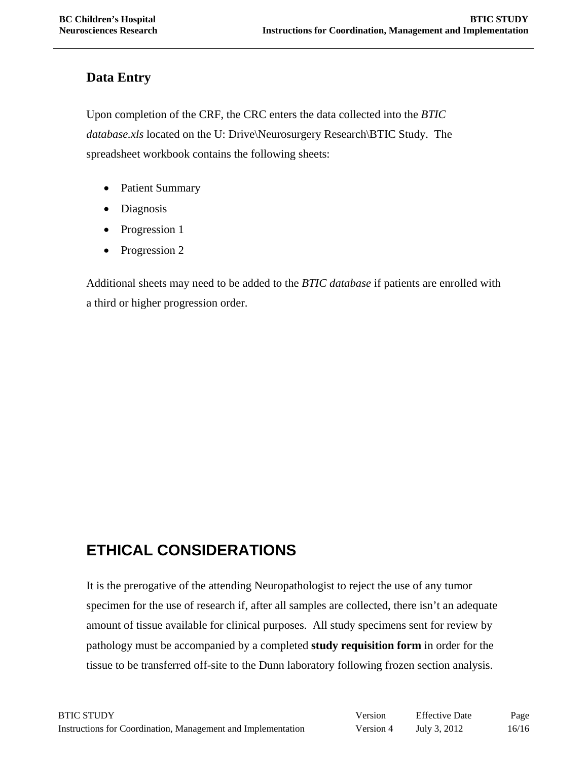#### **Data Entry**

Upon completion of the CRF, the CRC enters the data collected into the *BTIC database.xls* located on the U: Drive\Neurosurgery Research\BTIC Study. The spreadsheet workbook contains the following sheets:

- Patient Summary
- Diagnosis
- Progression 1
- Progression 2

Additional sheets may need to be added to the *BTIC database* if patients are enrolled with a third or higher progression order.

# **ETHICAL CONSIDERATIONS**

It is the prerogative of the attending Neuropathologist to reject the use of any tumor specimen for the use of research if, after all samples are collected, there isn't an adequate amount of tissue available for clinical purposes. All study specimens sent for review by pathology must be accompanied by a completed **study requisition form** in order for the tissue to be transferred off-site to the Dunn laboratory following frozen section analysis.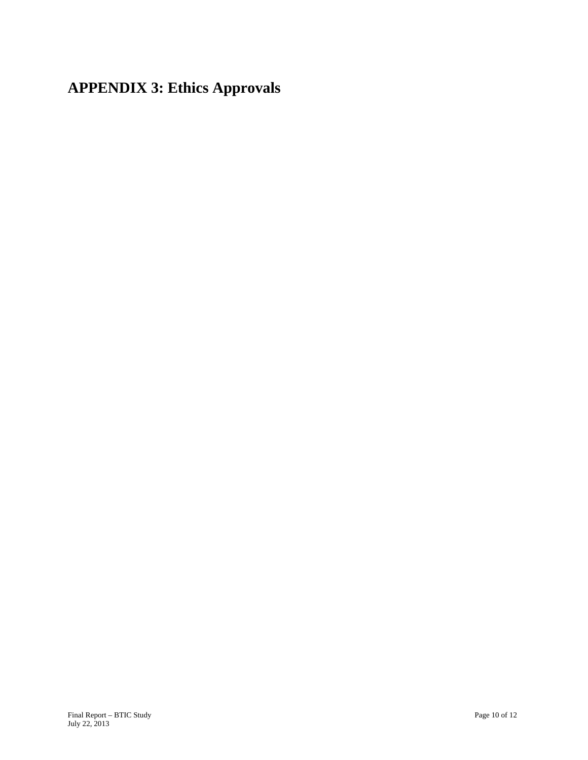**APPENDIX 3: Ethics Approvals**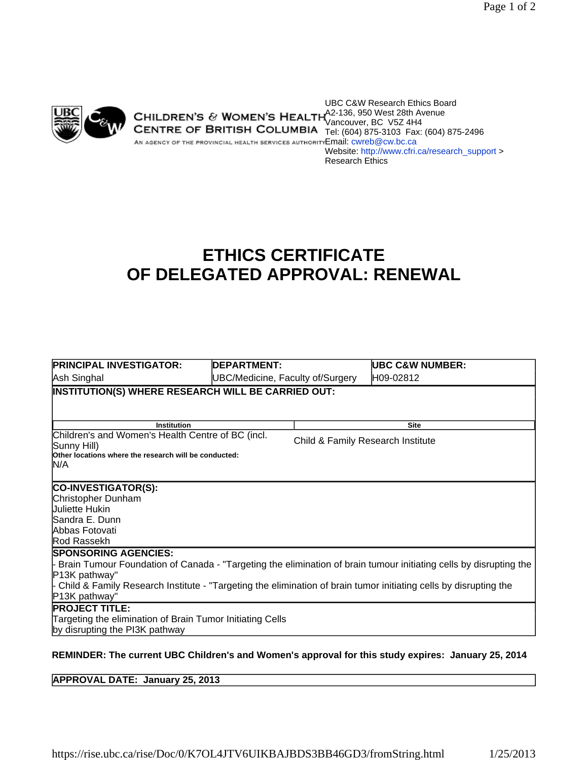

UBC C&W Research Ethics Board A2-136, 950 West 28th Avenue Vancouver, BC V5Z 4H4 **CENTRE OF BRITISH COLUMBIA** Tel: (604) 875-3103 Fax: (604) 875-2496 AN AGENCY OF THE PROVINCIAL HEALTH SERVICES AUTHORITY EMAIl: CWIPD @CW.bc.ca Website: http://www.cfri.ca/research\_support > Research Ethics

# **ETHICS CERTIFICATE OF DELEGATED APPROVAL: RENEWAL**

| <b>PRINCIPAL INVESTIGATOR:</b>                                                                                     | <b>DEPARTMENT:</b>               |                                   | UBC C&W NUMBER:                                                                                           |  |  |
|--------------------------------------------------------------------------------------------------------------------|----------------------------------|-----------------------------------|-----------------------------------------------------------------------------------------------------------|--|--|
| Ash Singhal                                                                                                        | UBC/Medicine, Faculty of/Surgery |                                   | H09-02812                                                                                                 |  |  |
| INSTITUTION(S) WHERE RESEARCH WILL BE CARRIED OUT:                                                                 |                                  |                                   |                                                                                                           |  |  |
|                                                                                                                    |                                  |                                   |                                                                                                           |  |  |
|                                                                                                                    |                                  |                                   | <b>Site</b>                                                                                               |  |  |
| <b>Institution</b><br>Children's and Women's Health Centre of BC (incl.                                            |                                  |                                   |                                                                                                           |  |  |
| Sunny Hill)                                                                                                        |                                  | Child & Family Research Institute |                                                                                                           |  |  |
| Other locations where the research will be conducted:                                                              |                                  |                                   |                                                                                                           |  |  |
| N/A                                                                                                                |                                  |                                   |                                                                                                           |  |  |
| CO-INVESTIGATOR(S):                                                                                                |                                  |                                   |                                                                                                           |  |  |
| Christopher Dunham                                                                                                 |                                  |                                   |                                                                                                           |  |  |
| <b>Juliette Hukin</b>                                                                                              |                                  |                                   |                                                                                                           |  |  |
| Sandra E. Dunn                                                                                                     |                                  |                                   |                                                                                                           |  |  |
| Abbas Fotovati                                                                                                     |                                  |                                   |                                                                                                           |  |  |
| Rod Rassekh                                                                                                        |                                  |                                   |                                                                                                           |  |  |
| <b>SPONSORING AGENCIES:</b>                                                                                        |                                  |                                   |                                                                                                           |  |  |
| Brain Tumour Foundation of Canada - "Targeting the elimination of brain tumour initiating cells by disrupting the  |                                  |                                   |                                                                                                           |  |  |
| P13K pathway"                                                                                                      |                                  |                                   |                                                                                                           |  |  |
| - Child & Family Research Institute - "Targeting the elimination of brain tumor initiating cells by disrupting the |                                  |                                   |                                                                                                           |  |  |
| P13K pathway"                                                                                                      |                                  |                                   |                                                                                                           |  |  |
| <b>PROJECT TITLE:</b>                                                                                              |                                  |                                   |                                                                                                           |  |  |
| Targeting the elimination of Brain Tumor Initiating Cells                                                          |                                  |                                   |                                                                                                           |  |  |
| by disrupting the PI3K pathway                                                                                     |                                  |                                   |                                                                                                           |  |  |
|                                                                                                                    |                                  |                                   | <b>DEMINDED: The current URC Children's and Wemen's approval for this study expires: January 25, 2014</b> |  |  |

#### **REMINDER: The current UBC Children's and Women's approval for this study expires: January 25, 2014**

**APPROVAL DATE: January 25, 2013**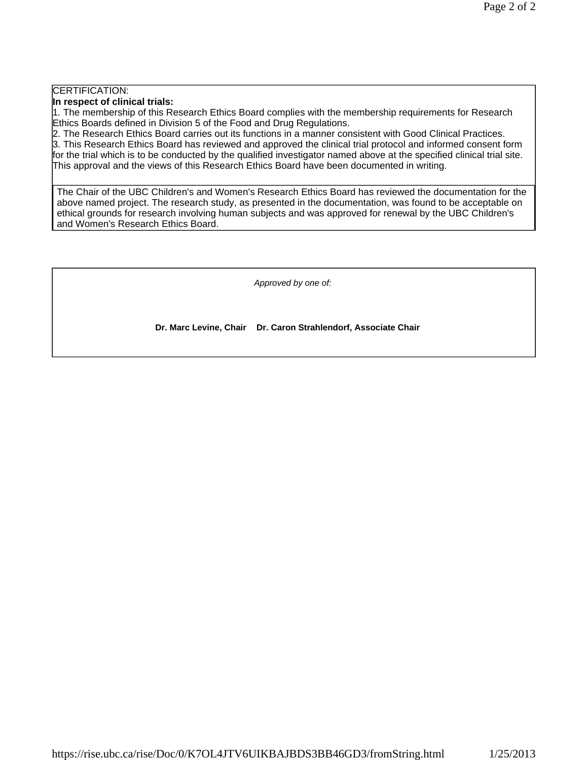#### CERTIFICATION:

**In respect of clinical trials:** 

1. The membership of this Research Ethics Board complies with the membership requirements for Research Ethics Boards defined in Division 5 of the Food and Drug Regulations.

2. The Research Ethics Board carries out its functions in a manner consistent with Good Clinical Practices.

3. This Research Ethics Board has reviewed and approved the clinical trial protocol and informed consent form for the trial which is to be conducted by the qualified investigator named above at the specified clinical trial site. This approval and the views of this Research Ethics Board have been documented in writing.

The Chair of the UBC Children's and Women's Research Ethics Board has reviewed the documentation for the above named project. The research study, as presented in the documentation, was found to be acceptable on ethical grounds for research involving human subjects and was approved for renewal by the UBC Children's and Women's Research Ethics Board.

*Approved by one of:*

**Dr. Marc Levine, Chair Dr. Caron Strahlendorf, Associate Chair**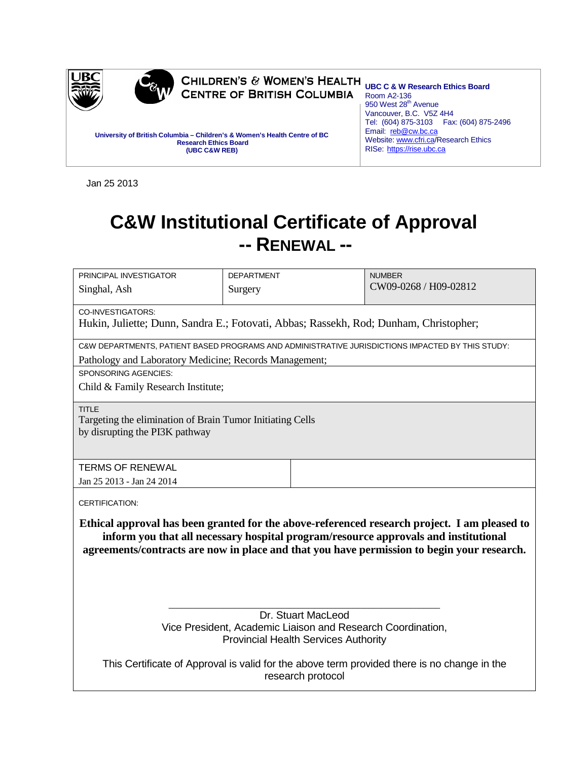

Jan 25 2013

# **C&W Institutional Certificate of Approval -- RENEWAL --**

| PRINCIPAL INVESTIGATOR                                                                           | <b>DEPARTMENT</b>                                                                     | <b>NUMBER</b>                                                                                |  |  |  |  |
|--------------------------------------------------------------------------------------------------|---------------------------------------------------------------------------------------|----------------------------------------------------------------------------------------------|--|--|--|--|
| Singhal, Ash                                                                                     | Surgery                                                                               | CW09-0268 / H09-02812                                                                        |  |  |  |  |
|                                                                                                  |                                                                                       |                                                                                              |  |  |  |  |
|                                                                                                  | CO-INVESTIGATORS:                                                                     |                                                                                              |  |  |  |  |
|                                                                                                  | Hukin, Juliette; Dunn, Sandra E.; Fotovati, Abbas; Rassekh, Rod; Dunham, Christopher; |                                                                                              |  |  |  |  |
| C&W DEPARTMENTS, PATIENT BASED PROGRAMS AND ADMINISTRATIVE JURISDICTIONS IMPACTED BY THIS STUDY: |                                                                                       |                                                                                              |  |  |  |  |
| Pathology and Laboratory Medicine; Records Management;                                           |                                                                                       |                                                                                              |  |  |  |  |
| <b>SPONSORING AGENCIES:</b>                                                                      |                                                                                       |                                                                                              |  |  |  |  |
| Child & Family Research Institute;                                                               |                                                                                       |                                                                                              |  |  |  |  |
| <b>TITLE</b>                                                                                     |                                                                                       |                                                                                              |  |  |  |  |
| Targeting the elimination of Brain Tumor Initiating Cells                                        |                                                                                       |                                                                                              |  |  |  |  |
| by disrupting the PI3K pathway                                                                   |                                                                                       |                                                                                              |  |  |  |  |
|                                                                                                  |                                                                                       |                                                                                              |  |  |  |  |
| <b>TERMS OF RENEWAL</b>                                                                          |                                                                                       |                                                                                              |  |  |  |  |
| Jan 25 2013 - Jan 24 2014                                                                        |                                                                                       |                                                                                              |  |  |  |  |
|                                                                                                  |                                                                                       |                                                                                              |  |  |  |  |
| <b>CERTIFICATION:</b>                                                                            |                                                                                       |                                                                                              |  |  |  |  |
|                                                                                                  |                                                                                       | Ethical approval has been granted for the above-referenced research project. I am pleased to |  |  |  |  |
|                                                                                                  |                                                                                       | inform you that all necessary hospital program/resource approvals and institutional          |  |  |  |  |
|                                                                                                  |                                                                                       |                                                                                              |  |  |  |  |
| agreements/contracts are now in place and that you have permission to begin your research.       |                                                                                       |                                                                                              |  |  |  |  |
|                                                                                                  |                                                                                       |                                                                                              |  |  |  |  |
|                                                                                                  |                                                                                       |                                                                                              |  |  |  |  |
|                                                                                                  |                                                                                       |                                                                                              |  |  |  |  |
| Dr. Stuart MacLeod                                                                               |                                                                                       |                                                                                              |  |  |  |  |
| Vice President, Academic Liaison and Research Coordination,                                      |                                                                                       |                                                                                              |  |  |  |  |
| <b>Provincial Health Services Authority</b>                                                      |                                                                                       |                                                                                              |  |  |  |  |
| This Certificate of Approval is valid for the above term provided there is no change in the      |                                                                                       |                                                                                              |  |  |  |  |

research protocol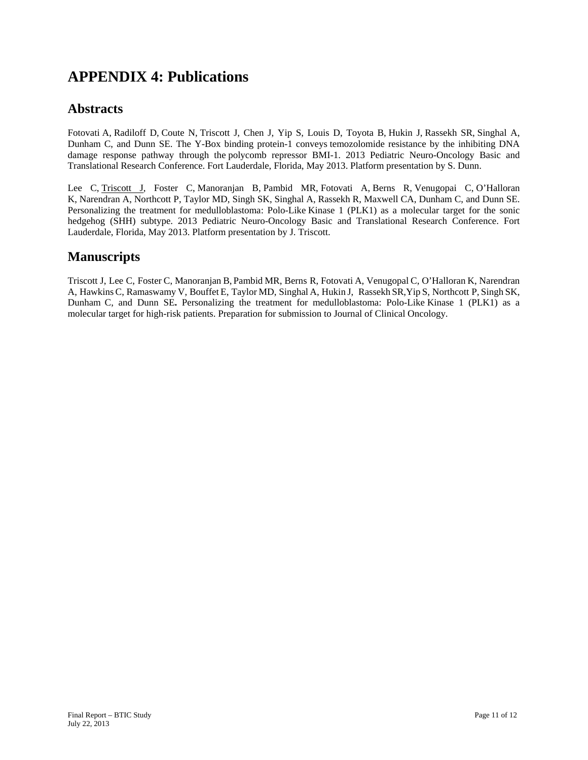## **APPENDIX 4: Publications**

#### **Abstracts**

Fotovati A, Radiloff D, Coute N, Triscott J, Chen J, Yip S, Louis D, Toyota B, Hukin J, Rassekh SR, Singhal A, Dunham C, and Dunn SE. The Y-Box binding protein-1 conveys temozolomide resistance by the inhibiting DNA damage response pathway through the polycomb repressor BMI-1. 2013 Pediatric Neuro-Oncology Basic and Translational Research Conference. Fort Lauderdale, Florida, May 2013. Platform presentation by S. Dunn.

Lee C, Triscott J, Foster C, Manoranjan B, Pambid MR, Fotovati A, Berns R, Venugopai C, O'Halloran K, Narendran A, Northcott P, Taylor MD, Singh SK, Singhal A, Rassekh R, Maxwell CA, Dunham C, and Dunn SE. Personalizing the treatment for medulloblastoma: Polo-Like Kinase 1 (PLK1) as a molecular target for the sonic hedgehog (SHH) subtype. 2013 Pediatric Neuro-Oncology Basic and Translational Research Conference. Fort Lauderdale, Florida, May 2013. Platform presentation by J. Triscott.

#### **Manuscripts**

Triscott J, Lee C, Foster C, Manoranjan B, Pambid MR, Berns R, Fotovati A, Venugopal C, O'Halloran K, Narendran A, Hawkins C, Ramaswamy V, Bouffet E, Taylor MD, Singhal A, Hukin J, Rassekh SR,Yip S, Northcott P, Singh SK, Dunham C, and Dunn SE**.** Personalizing the treatment for medulloblastoma: Polo-Like Kinase 1 (PLK1) as a molecular target for high-risk patients. Preparation for submission to Journal of Clinical Oncology.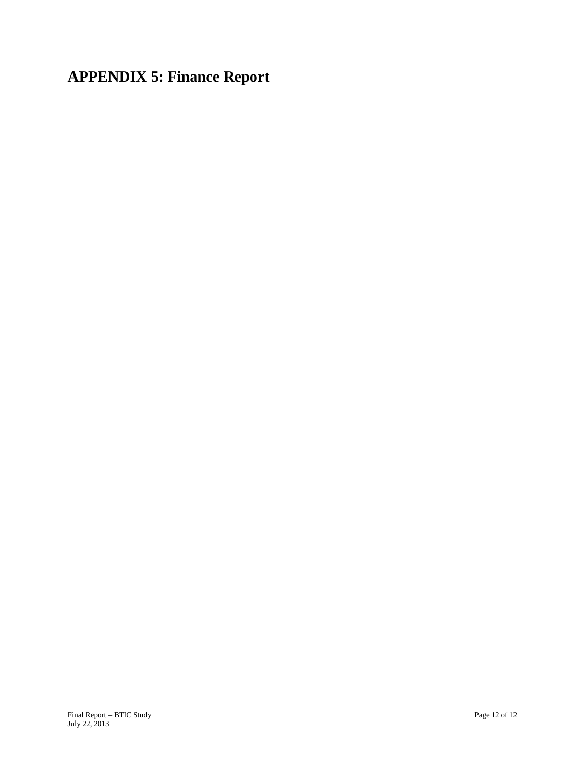**APPENDIX 5: Finance Report**